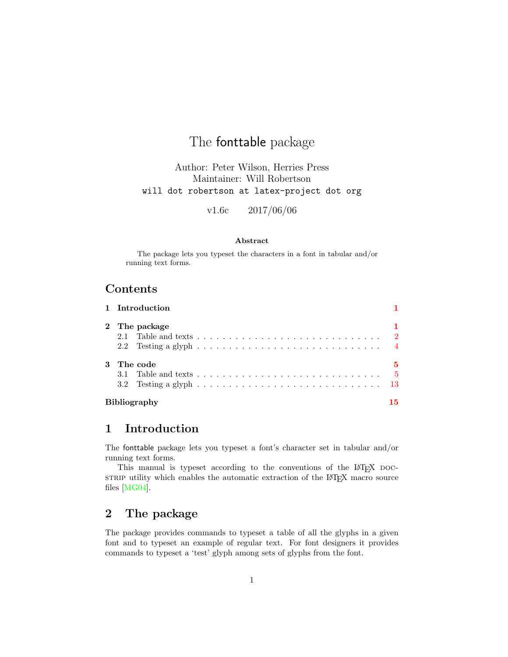# The fonttable package

Author: Peter Wilson, Herries Press Maintainer: Will Robertson will dot robertson at latex-project dot org

v1.6c 2017/06/06

#### Abstract

The package lets you typeset the characters in a font in tabular and/or running text forms.

## Contents

|              |                     | 1 Introduction                                                                                               |    |
|--------------|---------------------|--------------------------------------------------------------------------------------------------------------|----|
|              |                     | 2 The package<br>2.2 Testing a glyph $\ldots \ldots \ldots \ldots \ldots \ldots \ldots \ldots \ldots \ldots$ |    |
| $\mathbf{3}$ | The code            | 3.2 Testing a glyph $\ldots \ldots \ldots \ldots \ldots \ldots \ldots \ldots \ldots \ldots \ldots \ldots$ 13 | 5  |
|              | <b>Bibliography</b> |                                                                                                              | 15 |

## <span id="page-0-0"></span>1 Introduction

The fonttable package lets you typeset a font's character set in tabular and/or running text forms.

This manual is typeset according to the conventions of the LAT<sub>EX</sub> DOCstrain utility which enables the automatic extraction of the LAT<sub>E</sub>X macro source files [\[MG04\]](#page-15-0).

## <span id="page-0-1"></span>2 The package

The package provides commands to typeset a table of all the glyphs in a given font and to typeset an example of regular text. For font designers it provides commands to typeset a 'test' glyph among sets of glyphs from the font.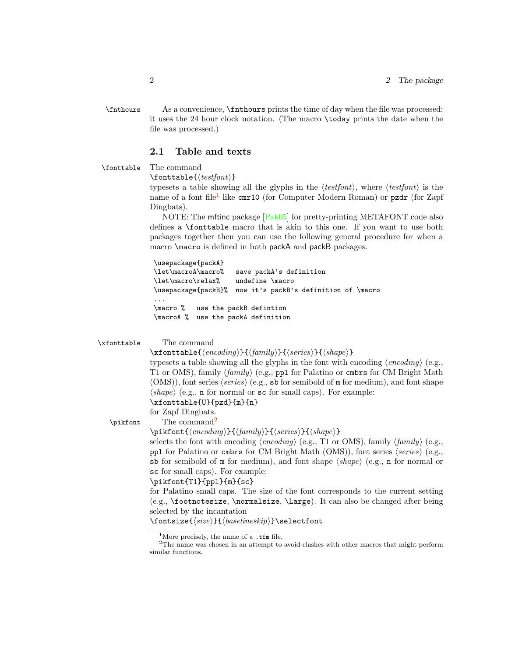\fnthours As a convenience, \fnthours prints the time of day when the file was processed; it uses the 24 hour clock notation. (The macro \today prints the date when the file was processed.)

#### <span id="page-1-0"></span>2.1 Table and texts

\fonttable The command

 $\{testfont\}$ 

typesets a table showing all the glyphs in the  $\langle testfont \rangle$ , where  $\langle testfont \rangle$  is the name of a font file<sup>[1](#page-1-1)</sup> like cmr10 (for Computer Modern Roman) or pzdr (for Zapf Dingbats).

NOTE: The mftinc package [\[Pak05\]](#page-15-1) for pretty-printing METAFONT code also defines a \fonttable macro that is akin to this one. If you want to use both packages together then you can use the following general procedure for when a macro \macro is defined in both packA and packB packages.

\usepackage{packA} \let\macroA\macro% save packA's definition \let\macro\relax% undefine \macro \usepackage{packB}% now it's packB's definition of \macro ... \macro % use the packB defintion \macroA % use the packA definition

```
\xfonttable The command
```
 $\xfont \texttt{double}({\mathit{encoding}}){\cal{f}}({\mathit{family}}){\cal{f}}({\mathit{series}}){\cal{f}}({\mathit{shape}})$ typesets a table showing all the glyphs in the font with encoding  $\langle encoding \rangle$  (e.g., T1 or OMS), family  $\langle family \rangle$  (e.g., ppl for Palatino or cmbrs for CM Bright Math  $(OMS)$ , font series  $\langle series \rangle$  (e.g., sb for semibold of m for medium), and font shape  $\langle shape \rangle$  (e.g., n for normal or sc for small caps). For example: \xfonttable{U}{pzd}{m}{n}

for Zapf Dingbats.

The command<sup>[2](#page-1-2)</sup>

\pikfont

 $\pi_{\{encoding\}}{\{family}\}, {\langle series\rangle}{\langle shape\rangle\}$ 

selects the font with encoding  $\langle encoding \rangle$  (e.g., T1 or OMS), family  $\langle family \rangle$  (e.g., ppl for Palatino or cmbrs for CM Bright Math (OMS)), font series  $\langle series \rangle$  (e.g., sb for semibold of  $m$  for medium), and font shape  $\langle shape \rangle$  (e.g., n for normal or sc for small caps). For example:

#### \pikfont{T1}{ppl}{m}{sc}

for Palatino small caps. The size of the font corresponds to the current setting (e.g., \footnotesize, \normalsize, \Large). It can also be changed after being selected by the incantation

 $\{\langle size \rangle\} {\langle baselineskip \rangle\} \setminus \{\text{on} \rangle\}$ 

<span id="page-1-2"></span><span id="page-1-1"></span><sup>&</sup>lt;sup>1</sup>More precisely, the name of a .tfm file.

 $2$ The name was chosen in an attempt to avoid clashes with other macros that might perform similar functions.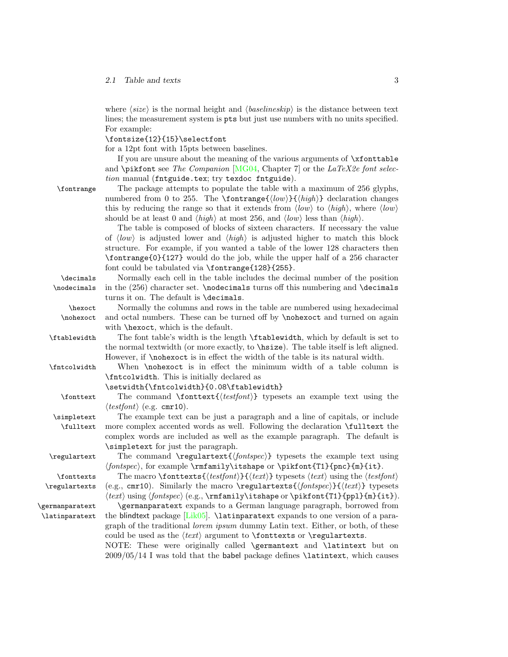where  $\langle size \rangle$  is the normal height and  $\langle baselineskip \rangle$  is the distance between text lines; the measurement system is pts but just use numbers with no units specified. For example:

\fontsize{12}{15}\selectfont

for a 12pt font with 15pts between baselines.

If you are unsure about the meaning of the various arguments of  $\xi$  to  $\eta$ and \pikfont see The Companion  $[MG04, Chapter 7]$  $[MG04, Chapter 7]$  or the LaTeX2e font selection manual (fntguide.tex; try texdoc fntguide).

| \fontrange | The package attempts to populate the table with a maximum of 256 glyphs.                                                         |
|------------|----------------------------------------------------------------------------------------------------------------------------------|
|            | numbered from 0 to 255. The $\forall$ fontranges $\{ \langle low \rangle\} \{ \langle high \rangle\}$ declaration changes        |
|            | this by reducing the range so that it extends from $\langle low \rangle$ to $\langle high \rangle$ , where $\langle low \rangle$ |
|            | should be at least 0 and $\langle high \rangle$ at most 256, and $\langle low \rangle$ less than $\langle high \rangle$ .        |
|            |                                                                                                                                  |

The table is composed of blocks of sixteen characters. If necessary the value of  $\langle \text{low} \rangle$  is adjusted lower and  $\langle \text{high} \rangle$  is adjusted higher to match this block structure. For example, if you wanted a table of the lower 128 characters then \fontrange{0}{127} would do the job, while the upper half of a 256 character font could be tabulated via \fontrange{128}{255}.

\decimals Normally each cell in the table includes the decimal number of the position \nodecimals in the (256) character set. \nodecimals turns off this numbering and \decimals turns it on. The default is \decimals. \hexoct Normally the columns and rows in the table are numbered using hexadecimal

\nohexoct and octal numbers. These can be turned off by \nohexoct and turned on again with \hexoct, which is the default.

\ftablewidth The font table's width is the length \ftablewidth, which by default is set to the normal textwidth (or more exactly, to \hsize). The table itself is left aligned. However, if \nohexoct is in effect the width of the table is its natural width.

\fntcolwidth When \nohexoct is in effect the minimum width of a table column is \fntcolwidth. This is initially declared as

\setwidth{\fntcolwidth}{0.08\ftablewidth}

 $\forall$ fonttext The command  $\fonttext{{\texttt{test}}\$  typesets an example text using the  $\langle testfont \rangle$  (e.g. cmr10).

\simpletext The example text can be just a paragraph and a line of capitals, or include \fulltext more complex accented words as well. Following the declaration \fulltext the complex words are included as well as the example paragraph. The default is \simpletext for just the paragraph.

 $\regulartext$  The command  $\regulartext{\{font spec}\}\$  typesets the example text using  $\langle$ fontspec), for example \rmfamily\itshape or \pikfont{T1}{pnc}{m}{it}. \fonttexts The macro \fonttexts{ $\{testfont\}$ } typesets  $\{text\}$  using the  $\{testfont\}$ 

\regulartexts (e.g., cmr10). Similarly the macro \regulartexts{ $\{fontspec\}$ }{ $\{ \text{text} \}$ } typesets  $\langle \text{test} \rangle$  using  $\{font spec \}$  (e.g.,  $\rm{amily}$ ) tshape or  $\phi_{T1}\{ppl\{m\{it\}}$ .

\germanparatext \germanparatext expands to a German language paragraph, borrowed from \latinparatext the blindtext package [\[Lik05\]](#page-14-1). \latinparatext expands to one version of a paragraph of the traditional lorem ipsum dummy Latin text. Either, or both, of these could be used as the  $\langle text \rangle$  argument to **\fonttexts** or **\regulartexts.** 

> NOTE: These were originally called \germantext and \latintext but on 2009/05/14 I was told that the babel package defines \latintext, which causes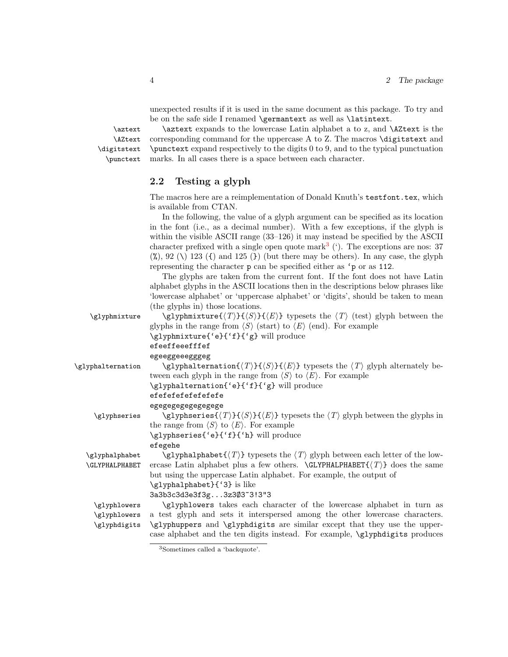unexpected results if it is used in the same document as this package. To try and be on the safe side I renamed \germantext as well as \latintext.

\AZtext \digitstext \punctext

\aztext \aztext expands to the lowercase Latin alphabet a to z, and \AZtext is the corresponding command for the uppercase A to Z. The macros \digitstext and \punctext expand respectively to the digits 0 to 9, and to the typical punctuation marks. In all cases there is a space between each character.

### <span id="page-3-0"></span>2.2 Testing a glyph

The macros here are a reimplementation of Donald Knuth's testfont.tex, which is available from CTAN.

In the following, the value of a glyph argument can be specified as its location in the font (i.e., as a decimal number). With a few exceptions, if the glyph is within the visible ASCII range (33–126) it may instead be specified by the ASCII character prefixed with a single open quote mark<sup>[3](#page-3-1)</sup>  $($ <sup>'</sup>). The exceptions are nos: 37  $(\%)$ , 92 (\) 123 ({) and 125 (}) (but there may be others). In any case, the glyph representing the character p can be specified either as 'p or as 112.

The glyphs are taken from the current font. If the font does not have Latin alphabet glyphs in the ASCII locations then in the descriptions below phrases like 'lowercase alphabet' or 'uppercase alphabet' or 'digits', should be taken to mean (the glyphs in) those locations.

| \glyphmixture         | \glyphmixture{ $\langle T \rangle$ }{ $\langle S \rangle$ }{ $\langle E \rangle$ } typesets the $\langle T \rangle$ (test) glyph between the         |
|-----------------------|------------------------------------------------------------------------------------------------------------------------------------------------------|
|                       | glyphs in the range from $\langle S \rangle$ (start) to $\langle E \rangle$ (end). For example                                                       |
|                       | \glyphmixture{'e}{'f}{'g} will produce                                                                                                               |
|                       | efeeffeeefffef                                                                                                                                       |
|                       | egeeggeeegggeg                                                                                                                                       |
| \glyphalternation     | $\gtrsim$ lyphalternation $\{\langle T\rangle\}$ { $\langle S\rangle\}$ { $\langle E\rangle$ } typesets the $\langle T\rangle$ glyph alternately be- |
|                       | tween each glyph in the range from $\langle S \rangle$ to $\langle E \rangle$ . For example                                                          |
|                       | \glyphalternation{'e}{'f}{'g} will produce                                                                                                           |
|                       | efefefefefefefefe                                                                                                                                    |
|                       | egegegegegegegege                                                                                                                                    |
| \glyphseries          | \glyphseries{ $\langle T \rangle$ }{ $\langle S \rangle$ }{ $\langle E \rangle$ } typesets the $\langle T \rangle$ glyph between the glyphs in       |
|                       | the range from $\langle S \rangle$ to $\langle E \rangle$ . For example                                                                              |
|                       | \glyphseries{'e}{'f}{'h} will produce                                                                                                                |
|                       | efegehe                                                                                                                                              |
| \glyphalphabet        | $\gtrsim$ lyphalphabet $\{\langle T \rangle\}$ typesets the $\langle T \rangle$ glyph between each letter of the low-                                |
| <b>\GLYPHALPHABET</b> | ercase Latin alphabet plus a few others. $\GLYPHALPHABET\{\langle T \rangle\}$ does the same                                                         |
|                       | but using the uppercase Latin alphabet. For example, the output of                                                                                   |
|                       | \glyphalphabet}{'3} is like                                                                                                                          |
|                       | 3a3b3c3d3e3f3g3z3Ø3~3!3"3                                                                                                                            |
| \glyphlowers          | \glyphlowers takes each character of the lowercase alphabet in turn as                                                                               |
| \glyphlowers          | a test glyph and sets it interspersed among the other lowercase characters.                                                                          |
| \glyphdigits          | \glyphuppers and \glyphdigits are similar except that they use the upper-                                                                            |
|                       | case alphabet and the ten digits instead. For example, <i>\glyphdigits</i> produces                                                                  |
|                       |                                                                                                                                                      |

<span id="page-3-1"></span><sup>3</sup>Sometimes called a 'backquote'.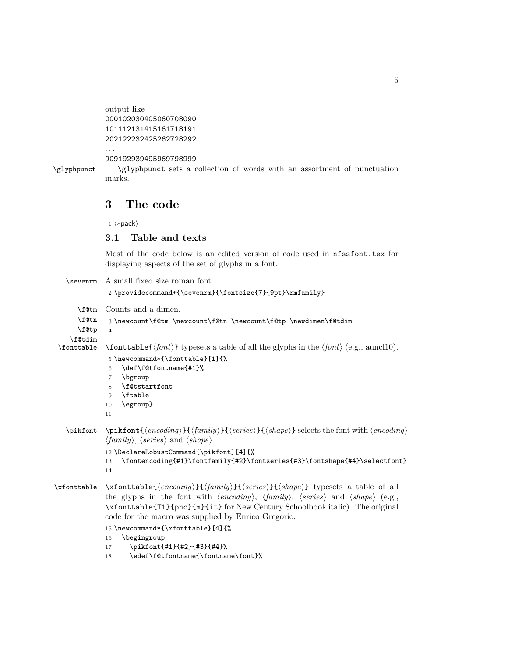```
output like
000102030405060708090
101112131415161718191
202122232425262728292
```
909192939495969798999

\glyphpunct \glyphpunct sets a collection of words with an assortment of punctuation marks.

## <span id="page-4-0"></span>3 The code

1  $\langle *pack \rangle$ 

. . .

### <span id="page-4-1"></span>3.1 Table and texts

Most of the code below is an edited version of code used in nfssfont.tex for displaying aspects of the set of glyphs in a font.

```
\sevenrm A small fixed size roman font.
                2 \providecommand*{\sevenrm}{\fontsize{7}{9pt}\rmfamily}
       \f@tm
Counts and a dimen.
      \f@tn
      \f@tp
\f@tdim
                3 \newcount\f@tm \newcount\f@tn \newcount\f@tp \newdimen\f@tdim
                4
               \forall fonttable \{\text{font} \} typesets a table of all the glyphs in the \text{font} \ (e.g., auncl10).
                5 \newcommand*{\fonttable}[1]{%
                6 \def\f@tfontname{#1}%
                7 \bgroup
                8 \f@tstartfont
                9 \ftable
               10 \egroup}
               11
   \pi \phi {\phi}({\gamma}) {\phi}({\gamma}) {\phi}({\gamma}) selects the font with \langle encoding \rangle,
               \langle family \rangle, \langle series \rangle and \langle shape \rangle.
               12 \DeclareRobustCommand{\pikfont}[4]{%
               13 \fontencoding{#1}\fontfamily{#2}\fontseries{#3}\fontshape{#4}\selectfont}
               14
\xfonttable \xfonttable{\{encoding{\}{}{\family}\}{\{series{\}{}{\shape\rangle}} typesets a table of all
               the glyphs in the font with \langle encoding \rangle, \langle family \rangle, \langle series \rangle and \langle shape \rangle (e.g.,
               \xfonttable{T1}{pnc}{m}{it} for New Century Schoolbook italic). The original
               code for the macro was supplied by Enrico Gregorio.
               15 \newcommand*{\xfonttable}[4]{%
               16 \begingroup
```
- 17 \pikfont{#1}{#2}{#3}{#4}%
- 18 \edef\f@tfontname{\fontname\font}%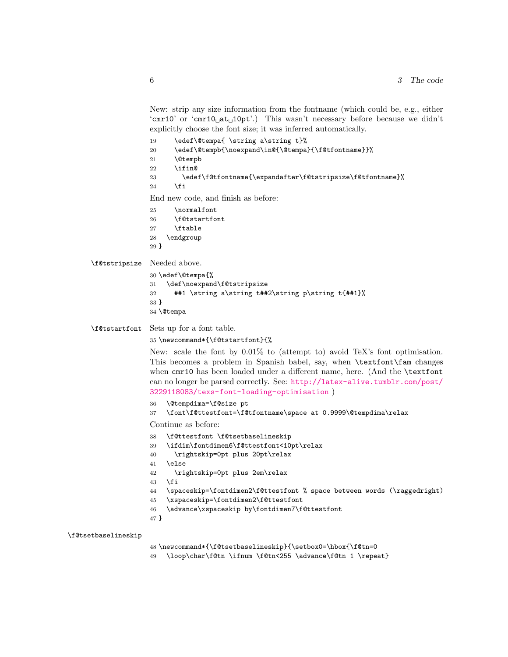New: strip any size information from the fontname (which could be, e.g., either 'cmr10' or 'cmr10 $\mu$ at $\mu$ 10pt'.) This wasn't necessary before because we didn't explicitly choose the font size; it was inferred automatically.

- 19 \edef\@tempa{ \string a\string t}%
- \edef\@tempb{\noexpand\in@{\@tempa}{\f@tfontname}}%
- \@tempb
- 22  $\iintin@$
- \edef\f@tfontname{\expandafter\f@tstripsize\f@tfontname}%

```
24 \sqrt{f}
```
End new code, and finish as before:

- \normalfont
- \f@tstartfont
- 27 \ftable
- \endgroup
- }

\f@tstripsize Needed above.

```
30 \edef\@tempa{%
31 \def\noexpand\f@tstripsize
32 ##1 \string a\string t##2\string p\string t{##1}%
33 }
34 \@tempa
```
\f@tstartfont Sets up for a font table.

\newcommand\*{\f@tstartfont}{%

New: scale the font by 0.01% to (attempt to) avoid TeX's font optimisation. This becomes a problem in Spanish babel, say, when \textfont\fam changes when cmr10 has been loaded under a different name, here. (And the \textfont can no longer be parsed correctly. See: [http://latex-alive.tumblr.com/post/](http://latex-alive.tumblr.com/post/3229118083/texs-font-loading-optimisation) [3229118083/texs-font-loading-optimisation](http://latex-alive.tumblr.com/post/3229118083/texs-font-loading-optimisation) )

- \@tempdima=\f@size pt
- \font\f@ttestfont=\f@tfontname\space at 0.9999\@tempdima\relax

Continue as before:

- \f@ttestfont \f@tsetbaselineskip
- \ifdim\fontdimen6\f@ttestfont<10pt\relax
- \rightskip=0pt plus 20pt\relax
- \else
- \rightskip=0pt plus 2em\relax
- \fi
- \spaceskip=\fontdimen2\f@ttestfont % space between words (\raggedright)
- \xspaceskip=\fontdimen2\f@ttestfont
- \advance\xspaceskip by\fontdimen7\f@ttestfont
- }

\f@tsetbaselineskip

- \newcommand\*{\f@tsetbaselineskip}{\setbox0=\hbox{\f@tn=0
- \loop\char\f@tn \ifnum \f@tn<255 \advance\f@tn 1 \repeat}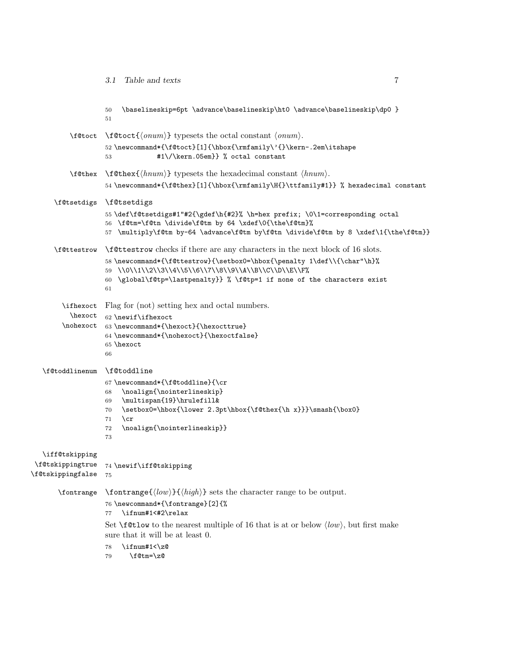|                                                            | \baselineskip=6pt \advance\baselineskip\ht0 \advance\baselineskip\dp0 }<br>50<br>51                                                                                                                                                                                                                                                                 |
|------------------------------------------------------------|-----------------------------------------------------------------------------------------------------------------------------------------------------------------------------------------------------------------------------------------------------------------------------------------------------------------------------------------------------|
| \f@toct                                                    | $\setminus f@tot\{\langle\rhonum\rangle\}$ typesets the octal constant $\langle\rhonum\rangle$ .<br>52\newcommand*{\f@toct}[1]{\hbox{\rmfamily\'{}\kern-.2em\itshape<br>#1\/\kern.05em}} % octal constant<br>53                                                                                                                                     |
| \f@thex                                                    | $\text{Cthex}\{\text{hnum}\}\$ typesets the hexadecimal constant $\langle \text{hnum} \rangle$ .<br>54 \newcommand*{\f@thex}[1]{\hbox{\rmfamily\H{}\ttfamily#1}} % hexadecimal constant                                                                                                                                                             |
| \f@tsetdigs                                                | \f@tsetdigs<br>55 \def\f@tsetdigs#1"#2{\gdef\h{#2}% \h=hex prefix; \0\1=corresponding octal<br>56 \f@tm=\f@tn \divide\f@tm by 64 \xdef\0{\the\f@tm}%<br>57 \multiply\f@tm by-64 \advance\f@tm by\f@tn \divide\f@tm by 8 \xdef\1{\the\f@tm}}                                                                                                         |
| \f@ttestrow                                                | <b>\f@ttestrow</b> checks if there are any characters in the next block of 16 slots.<br>58\newcommand*{\f@ttestrow}{\setbox0=\hbox{\penalty 1\def\\{\char"\h}%<br>59 \\0\\1\\2\\3\\4\\5\\6\\7\\8\\9\\A\\B\\C\\D\\E\\F%<br>\global\f@tp=\lastpenalty}} % \f@tp=1 if none of the characters exist<br>60<br>61                                         |
| \ifhexoct<br>hexoct<br>\nohexoct                           | Flag for (not) setting hex and octal numbers.<br>62 \newif\ifhexoct<br>63 \newcommand*{\hexoct}{\hexocttrue}<br>64 \newcommand*{\nohexoct}{\hexoctfalse}<br>65 \hexoct<br>66                                                                                                                                                                        |
| \f@toddlinenum                                             | \f@toddline<br>67\newcommand*{\f@toddline}{\cr<br>\noalign{\nointerlineskip}<br>68<br>\multispan{19}\hrulefill&<br>69<br>\setbox0=\hbox{\1ower 2.3pt\hbox{\f@thex{\h x}}}\smash{\box0}<br>70<br>$\c{c}$<br>71<br>\noalign{\nointerlineskip}}<br>72<br>73                                                                                            |
| \iff@tskipping<br>\f@tskippingtrue<br>\f@tskippingfalse 75 | 74 \newif\iff@tskipping                                                                                                                                                                                                                                                                                                                             |
| \fontrange                                                 | $\forall$ fontrange{ $\langle low \rangle$ }{ $\langle high \rangle$ } sets the character range to be output.<br>76 \newcommand*{\fontrange}[2]{%<br>\ifnum#1<#2\relax<br>77<br>Set $\text{Set}$ of the nearest multiple of 16 that is at or below $\langle low \rangle$ , but first make<br>sure that it will be at least 0.<br>\ifnum#1<\z@<br>78 |

\f@tm=\z@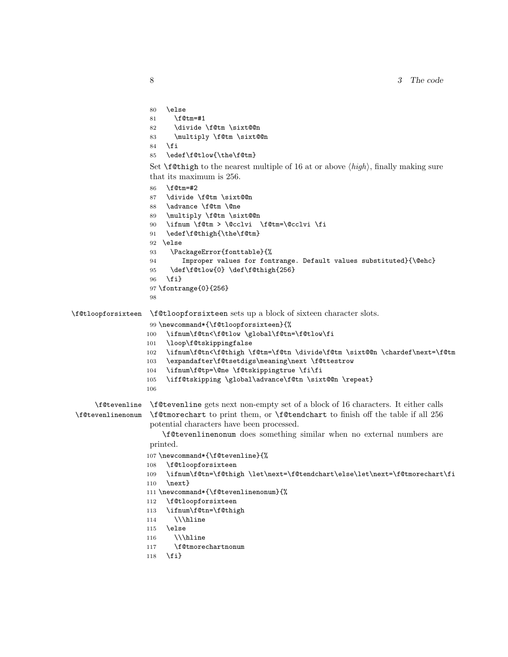```
80 \else
                    81 \f@tm=#1
                    82 \divide \f@tm \sixt@@n
                    83 \multiply \f@tm \sixt@@n
                    84 \fi
                    85 \edef\f@tlow{\the\f@tm}
                    Set \Set{\text{f@thigh}} to the nearest multiple of 16 at or above \hat{high}, finally making sure
                    that its maximum is 256.
                    86 \f@tm=#2
                    87 \divide \f@tm \sixt@@n
                    88 \advance \f@tm \@ne
                    89 \multiply \f@tm \sixt@@n
                    90 \ifnum \f@tm > \@cclvi \f@tm=\@cclvi \fi
                    91 \edef\f@thigh{\the\f@tm}
                    92 \else
                    93 \PackageError{fonttable}{%
                    94 Improper values for fontrange. Default values substituted}{\@ehc}
                    95 \def\f@tlow{0} \def\f@thigh{256}
                    96 \quad \text{If } i97 \fontrange{0}{256}
                    98
\f@tloopforsixteen \f@tloopforsixteen sets up a block of sixteen character slots.
                    99 \newcommand*{\f@tloopforsixteen}{%
                   100 \ifnum\f@tn<\f@tlow \global\f@tn=\f@tlow\fi
                   101 \loop\f@tskippingfalse
                   102 \ifnum\f@tn<\f@thigh \f@tm=\f@tn \divide\f@tm \sixt@@n \chardef\next=\f@tm
                   103 \expandafter\f@tsetdigs\meaning\next \f@ttestrow
                   104 \ifnum\f@tp=\@ne \f@tskippingtrue \fi\fi
                   105 \iff@tskipping \global\advance\f@tn \sixt@@n \repeat}
                   106
      \f@tevenline
\f@tevenline gets next non-empty set of a block of 16 characters. It either calls
\f@tevenlinenonum
                   \f@tmorechart to print them, or \f@tendchart to finish off the table if all 256
                    potential characters have been processed.
                       \f@tevenlinenonum does something similar when no external numbers are
                    printed.
                   107 \newcommand*{\f@tevenline}{%
                   108 \f@tloopforsixteen
                   109 \ifnum\f@tn=\f@thigh \let\next=\f@tendchart\else\let\next=\f@tmorechart\fi
                   110 \next}
                   111 \newcommand*{\f@tevenlinenonum}{%
                   112 \f@tloopforsixteen
                   113 \ifnum\f@tn=\f@thigh
                   114 \\\hline
                   115 \else
                   116 \\\hline
                   117 \f@tmorechartnonum
                   118 \fi}
```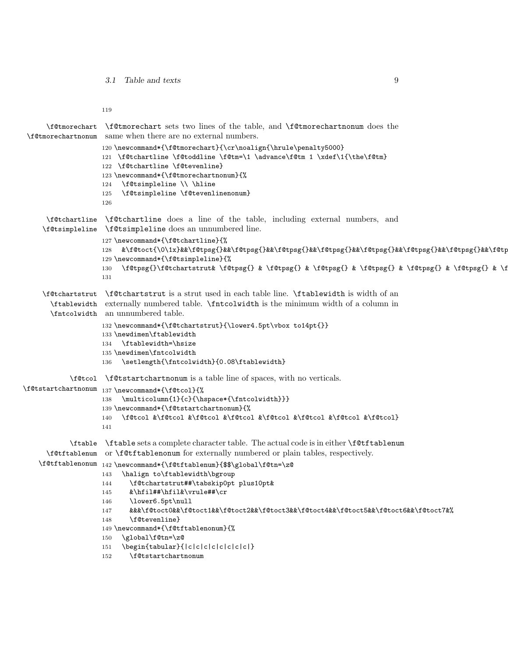3.1 Table and texts 9

119

```
\f@tmorechart
\f@tmorechart sets two lines of the table, and \f@tmorechartnonum does the
 \f@tmorechartnonum
same when there are no external numbers.
                    120 \newcommand*{\f@tmorechart}{\cr\noalign{\hrule\penalty5000}
                    121 \f@tchartline \f@toddline \f@tm=\1 \advance\f@tm 1 \xdef\1{\the\f@tm}
                    122 \f@tchartline \f@tevenline}
                    123 \newcommand*{\f@tmorechartnonum}{%
                    124 \f@tsimpleline \\ \hline
                    125 \f@tsimpleline \f@tevenlinenonum}
                    126
      \f@tchartline
\f@tchartline does a line of the table, including external numbers, and
     \f@tsimpleline
\f@tsimpleline does an unnumbered line.
                    127 \newcommand*{\f@tchartline}{%
                    128 &\f@toct{\0\1x}&&\f@tpsg{}&&\f@tpsg{}&&\f@tpsg{}&&\f@tpsg{}&&\f@tpsg{}&&\f@tpsg{}&&\f@tpsg{}&&\f@tpsg{}&&}
                    129 \newcommand*{\f@tsimpleline}{%
                    130 \f@tpsg{}\f@tchartstrut& \f@tpsg{} & \f@tpsg{} & \f@tpsg{} & \f@tpsg{} & \f@tpsg{} & \f@tpsg{} & \f@tpsg{}}
                    131
     \f@tchartstrut
\f@tchartstrut is a strut used in each table line. \ftablewidth is width of an
       \ftablewidth
externally numbered table. \fntcolwidth is the minimum width of a column in
       \fntcolwidth
an unnumbered table.
                    132 \newcommand*{\f@tchartstrut}{\lower4.5pt\vbox to14pt{}}
                    133 \newdimen\ftablewidth
                    134 \ftablewidth=\hsize
                    135 \newdimen\fntcolwidth
                    136 \setlength{\fntcolwidth}{0.08\ftablewidth}
            \f@tcol
\f@tstartchartnonum is a table line of spaces, with no verticals.
\f@tstartchartnonum
137 \newcommand*{\f@tcol}{%
                    138 \multicolumn{1}{c}{\hspace*{\fntcolwidth}}}
                    139 \newcommand*{\f@tstartchartnonum}{%
                    140 \f@tcol &\f@tcol &\f@tcol &\f@tcol &\f@tcol &\f@tcol &\f@tcol &\f@tcol}
                    141
            \ftable
\ftable sets a complete character table. The actual code is in either \f@tftablenum
      \f@tftablenum
or \f@tftablenonum for externally numbered or plain tables, respectively.
    \f@tftablenonum
142 \newcommand*{\f@tftablenum}{$$\global\f@tn=\z@
                    143 \halign to\ftablewidth\bgroup
                    144 \f@tchartstrut##\tabskip0pt plus10pt&
                    145 &\hfil##\hfil&\vrule##\cr
                    146 \lower6.5pt\null
                    147 &&&\f@toct0&&\f@toct1&&\f@toct2&&\f@toct3&&\f@toct4&&\f@toct5&&\f@toct6&&\f@toct7&%
                    148 \f@tevenline}
                    149 \newcommand*{\f@tftablenonum}{%
                    150 \global\f@tn=\z@
                    151 \begin{tabular}{|c|c|c|c|c|c|c|c|}
                    152 \f@tstartchartnonum
```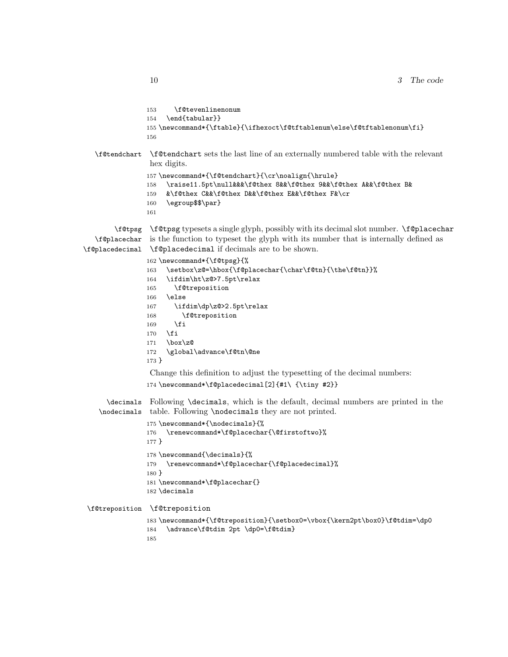```
153 \f@tevenlinenonum
                154 \end{tabular}}
                155 \newcommand*{\ftable}{\ifhexoct\f@tftablenum\else\f@tftablenonum\fi}
                156
  \f@tendchart \f@tendchart sets the last line of an externally numbered table with the relevant
                hex digits.
                157\newcommand*{\f@tendchart}{\cr\noalign{\hrule}
                158 \raise11.5pt\null&&&\f@thex 8&&\f@thex 9&&\f@thex A&&\f@thex B&
                159 &\f@thex C&&\f@thex D&&\f@thex E&&\f@thex F&\cr
                160 \egroup$$\par}
                161
        \f@tpsg
\f@tpsg typesets a single glyph, possibly with its decimal slot number. \f@placechar
   \f@placechar
is the function to typeset the glyph with its number that is internally defined as
\f@placedecimal
\f@placedecimal if decimals are to be shown.
                162 \newcommand*{\f@tpsg}{%
                163 \setbox\z@=\hbox{\f@placechar{\char\f@tn}{\the\f@tn}}%
                164 \ifdim\ht\z@>7.5pt\relax
                165 \f@treposition
                166 \else
                167 \ifdim\dp\z@>2.5pt\relax
                168 \f@treposition
                169 \fi
                170 \foralli
                171 \box\z@
                172 \global\advance\f@tn\@ne
                173 }
                Change this definition to adjust the typesetting of the decimal numbers:
                174 \newcommand*\f@placedecimal[2]{#1\ {\tiny #2}}
      \decimals
Following \decimals, which is the default, decimal numbers are printed in the
    \nodecimals
table. Following \nodecimals they are not printed.
                175 \newcommand*{\nodecimals}{%
                176 \renewcommand*\f@placechar{\@firstoftwo}%
                177 }
                178 \newcommand{\decimals}{%
                179 \renewcommand*\f@placechar{\f@placedecimal}%
                180 }
                181 \newcommand*\f@placechar{}
                182 \decimals
\f@treposition \f@treposition
                183 \newcommand*{\f@treposition}{\setbox0=\vbox{\kern2pt\box0}\f@tdim=\dp0
                184 \advance\f@tdim 2pt \dp0=\f@tdim}
                185
```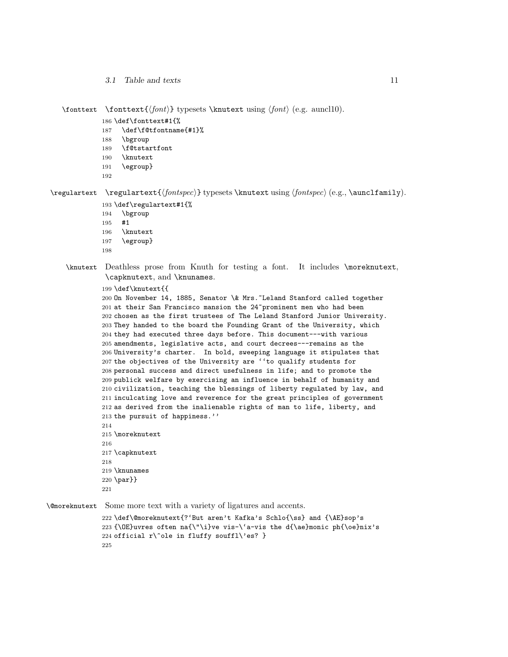\fonttext \fonttext{ $\{font}$ } typesets \knutext using  $\{font}$  (e.g. auncl10).

```
186 \def\fonttext#1{%
```

```
187 \def\f@tfontname{#1}%
```
- \bgroup
- \f@tstartfont
- \knutext
- \egroup}
- 

 $\text{Perquartext } \text{fontspec}$  typesets \knutext using  $\{fontspec\}$  (e.g., \aunclfamily).

```
193 \def\regulartext#1{%
```
- \bgroup
- #1

```
196 \knutext
```
- \egroup}
- 

\knutext Deathless prose from Knuth for testing a font. It includes \moreknutext, \capknutext, and \knunames.

\def\knutext{{

 On November 14, 1885, Senator \& Mrs.~Leland Stanford called together 201 at their San Francisco mansion the 24"prominent men who had been chosen as the first trustees of The Leland Stanford Junior University. They handed to the board the Founding Grant of the University, which they had executed three days before. This document---with various amendments, legislative acts, and court decrees---remains as the University's charter. In bold, sweeping language it stipulates that the objectives of the University are ''to qualify students for personal success and direct usefulness in life; and to promote the publick welfare by exercising an influence in behalf of humanity and civilization, teaching the blessings of liberty regulated by law, and inculcating love and reverence for the great principles of government as derived from the inalienable rights of man to life, liberty, and the pursuit of happiness.'' \moreknutext 

```
217 \capknutext
218
219 \knunames
220 \par}}
221
```
\@moreknutext Some more text with a variety of ligatures and accents.

```
222 \def\@moreknutext{?'But aren't Kafka's Schlo{\ss} and {\AE}sop's
223 {\OE}uvres often na{\"\i}ve vis-\'a-vis the d{\ae}monic ph{\oe}nix's
224 official r\ole in fluffy souffl\es? }
225
```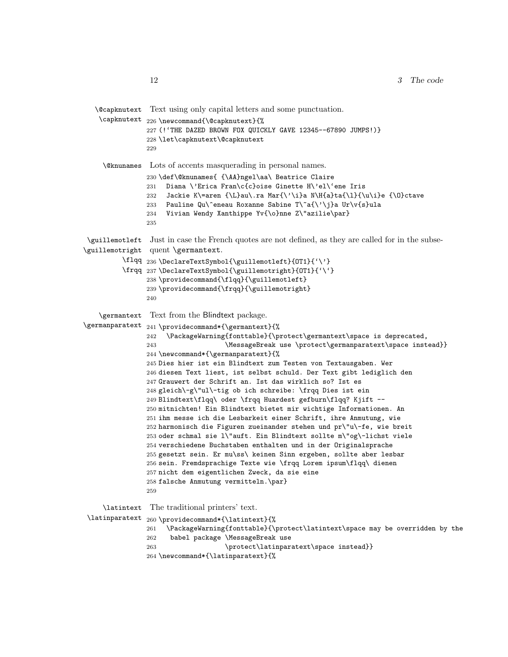```
\@capknutext
Text using only capital letters and some punctuation.
    \capknutext 226 \newcommand{\@capknutext}{%
               227 (!'THE DAZED BROWN FOX QUICKLY GAVE 12345--67890 JUMPS!)}
               228 \let\capknutext\@capknutext
               229
    \@knunames Lots of accents masquerading in personal names.
               230 \def\@knunames{ {\AA}ngel\aa\ Beatrice Claire
               231 Diana \'Erica Fran\c{c}oise Ginette H\'el\'ene Iris
               232 Jackie K\=aren {\L}au\.ra Mar{\'\i}a N\H{a}ta{\l}{\u\i}e {\O}ctave
               233 Pauline Qu\^eneau Roxanne Sabine T\~a{\'\j}a Ur\v{s}ula
               234 Vivian Wendy Xanthippe Yv{\o}nne Z\"azilie\par}
               235
 \guillemotleft
Just in case the French quotes are not defined, as they are called for in the subse-
\guillemotright
quent \germantext.
          \flqq
236 \DeclareTextSymbol{\guillemotleft}{OT1}{'\'}
          \frqq
237 \DeclareTextSymbol{\guillemotright}{OT1}{'\'}
               238 \providecommand{\flqq}{\guillemotleft}
               239 \providecommand{\frqq}{\guillemotright}
               240
    \germantext
Text from the Blindtext package.
\germanparatext 241 \providecommand*{\germantext}{%
               242 \PackageWarning{fonttable}{\protect\germantext\space is deprecated,
               243 	MessageBreak use \protect\germanparatext\space instead}}
               244 \newcommand*{\germanparatext}{%
               245 Dies hier ist ein Blindtext zum Testen von Textausgaben. Wer
               246 diesen Text liest, ist selbst schuld. Der Text gibt lediglich den
               247 Grauwert der Schrift an. Ist das wirklich so? Ist es
               248 gleich\-g\"ul\-tig ob ich schreibe: \frqq Dies ist ein
               249 Blindtext\flqq\ oder \frqq Huardest gefburn\flqq? Kjift --
               250 mitnichten! Ein Blindtext bietet mir wichtige Informationen. An
               251 ihm messe ich die Lesbarkeit einer Schrift, ihre Anmutung, wie
               252 harmonisch die Figuren zueinander stehen und pr\"u\-fe, wie breit
               253 oder schmal sie l\"auft. Ein Blindtext sollte m\"og\-lichst viele
               254 verschiedene Buchstaben enthalten und in der Originalsprache
               255 gesetzt sein. Er mu\ss\ keinen Sinn ergeben, sollte aber lesbar
               256 sein. Fremdsprachige Texte wie \frqq Lorem ipsum\flqq\ dienen
               257 nicht dem eigentlichen Zweck, da sie eine
               258 falsche Anmutung vermitteln.\par}
               259
     \latintext
The traditional printers' text.
 \latinparatext
260 \providecommand*{\latintext}{%
               261 \PackageWarning{fonttable}{\protect\latintext\space may be overridden by the
               262 babel package \MessageBreak use
               263 \protect\latinparatext\space instead}}
               264 \newcommand*{\latinparatext}{%
```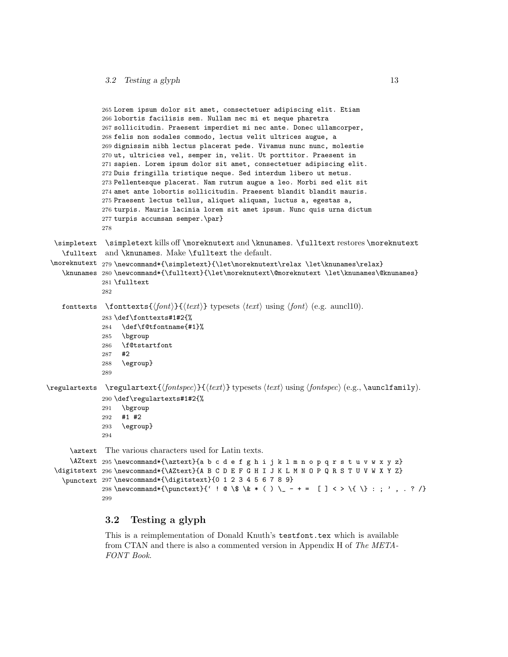```
265 Lorem ipsum dolor sit amet, consectetuer adipiscing elit. Etiam
               266 lobortis facilisis sem. Nullam nec mi et neque pharetra
               267 sollicitudin. Praesent imperdiet mi nec ante. Donec ullamcorper,
               268 felis non sodales commodo, lectus velit ultrices augue, a
               269 dignissim nibh lectus placerat pede. Vivamus nunc nunc, molestie
               270 ut, ultricies vel, semper in, velit. Ut porttitor. Praesent in
               271 sapien. Lorem ipsum dolor sit amet, consectetuer adipiscing elit.
              272 Duis fringilla tristique neque. Sed interdum libero ut metus.
              273 Pellentesque placerat. Nam rutrum augue a leo. Morbi sed elit sit
              274 amet ante lobortis sollicitudin. Praesent blandit blandit mauris.
               275 Praesent lectus tellus, aliquet aliquam, luctus a, egestas a,
               276 turpis. Mauris lacinia lorem sit amet ipsum. Nunc quis urna dictum
               277 turpis accumsan semper.\par}
               278
  \simpletext
\simpletext kills off \moreknutext and \knunames. \fulltext restores \moreknutext
    \fulltext
and \knunames. Make \fulltext the default.
 \moreknutext
279 \newcommand*{\simpletext}{\let\moreknutext\relax \let\knunames\relax}
    \knunames
280 \newcommand*{\fulltext}{\let\moreknutext\@moreknutext \let\knunames\@knunames}
               281 \fulltext
               282
    fonttexts \fonttexts{\langle \text{font}\rangle}{\less{text}} typesets \less{text} using \left{bmath{bmath}$ (e.g. auncl10).
               283 \def\fonttexts#1#2{%
               284 \def\f@tfontname{#1}%
               285 \bgroup
              286 \f@tstartfont
               287 #2
               288 \egroup}
               289
\regulartexts \regulartext{\{font spec}\}\ttext{ by } \regulartext\{\end{math} \t\t\t (text) using \fntiny (e.g., \aunchimily).290 \def\regulartexts#1#2{%
              291 \bgroup
              292 #1 #2
              293 \egroup}
               294
      \aztext
The various characters used for Latin texts.
      \AZtext
295 \newcommand*{\aztext}{a b c d e f g h i j k l m n o p q r s t u v w x y z}
  \digitstext
296 \newcommand*{\AZtext}{A B C D E F G H I J K L M N O P Q R S T U V W X Y Z}
    \punctext
297 \newcommand*{\digitstext}{0 1 2 3 4 5 6 7 8 9}
               298 \newcommand*{\punctext}{' ! @ \$ \& * ( ) \_ - + = [ ] < > \{ \} : ; ' , . ? /}
               299
```
### <span id="page-12-0"></span>3.2 Testing a glyph

This is a reimplementation of Donald Knuth's testfont.tex which is available from CTAN and there is also a commented version in Appendix H of The META-FONT Book.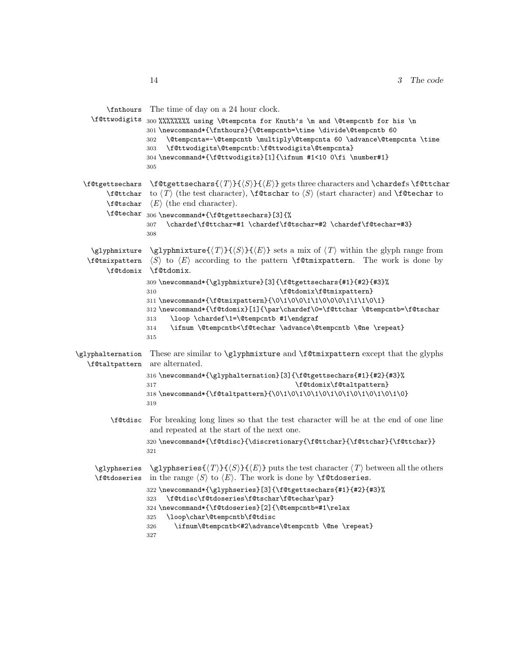|                                              | <b>\finitiours</b> The time of day on a 24 hour clock.                                                                                                                                                                                                                                                                                                                              |
|----------------------------------------------|-------------------------------------------------------------------------------------------------------------------------------------------------------------------------------------------------------------------------------------------------------------------------------------------------------------------------------------------------------------------------------------|
| \f@ttwodigits                                | 300 %%%%%%%% using \@tempcnta for Knuth's \m and \@tempcntb for his \n<br>301 \newcommand*{\fnthours}{\@tempcntb=\time \divide\@tempcntb 60<br>\@tempcnta=-\@tempcntb \multiply\@tempcnta 60 \advance\@tempcnta \time<br>302<br>\f@ttwodigits\@tempcntb:\f@ttwodigits\@tempcnta}<br>303<br>304 \newcommand*{\f@ttwodigits}[1]{\ifnum #1<10 0\fi \number#1}<br>305                   |
| \f@tgettsechars<br>\f@ttchar<br>\f@tschar    | $\texttt{C}$ \f@tgettsechars{ $\langle T\rangle$ }{ $\langle S\rangle$ }{ $\langle E\rangle$ } gets three characters and \chardefs \f@ttchar<br>to $\langle T \rangle$ (the test character), \f@tschar to $\langle S \rangle$ (start character) and \f@techar to<br>$\langle E \rangle$ (the end character).                                                                        |
| <b>\f@techar</b>                             | 306 \newcommand*{\f@tgettsechars}[3]{%<br>\chardef\f@ttchar=#1 \chardef\f@tschar=#2 \chardef\f@techar=#3}<br>307<br>308                                                                                                                                                                                                                                                             |
| \glyphmixture<br>\f@tmixpattern<br>\f@tdomix | \glyphmixture{ $\langle T \rangle$ }{ $\langle S \rangle$ }{ $\langle E \rangle$ } sets a mix of $\langle T \rangle$ within the glyph range from<br>$\langle S \rangle$ to $\langle E \rangle$ according to the pattern <b>\f</b> @tmixpattern. The work is done by<br>\f@tdomix.                                                                                                   |
|                                              | 309 \newcommand*{\glyphmixture}[3]{\f@tgettsechars{#1}{#2}{#3}%<br>\f@tdomix\f@tmixpattern}<br>310<br>311 \newcommand*{\f@tmixpattern}{\0\1\0\0\1\1\0\0\0\1\1\1\0\0\1<br>312\newcommand*{\f@tdomix}[1]{\par\chardef\0=\f@ttchar \@tempcntb=\f@tschar<br>\loop \chardef\1=\@tempcntb #1\endgraf<br>313<br>\ifnum \@tempcntb<\f@techar \advance\@tempcntb \@ne \repeat}<br>314<br>315 |
| \glyphalternation<br>\f@taltpattern          | These are similar to \glyphmixture and \f@tmixpattern except that the glyphs<br>are alternated.                                                                                                                                                                                                                                                                                     |
|                                              | 316 \newcommand*{\glyphalternation}[3]{\f@tgettsechars{#1}{#2}{#3}%<br>\f@tdomix\f@taltpattern}<br>317<br>319                                                                                                                                                                                                                                                                       |
| \f@tdisc                                     | For breaking long lines so that the test character will be at the end of one line<br>and repeated at the start of the next one.                                                                                                                                                                                                                                                     |
|                                              | 320\newcommand*{\f@tdisc}{\discretionary{\f@ttchar}{\f@ttchar}{\f@ttchar}}<br>321                                                                                                                                                                                                                                                                                                   |
| \glyphseries                                 | \glyphseries{ $\langle T \rangle$ }{ $\langle S \rangle$ }{ $\langle E \rangle$ } puts the test character $\langle T \rangle$ between all the others<br>\f@tdoseries in the range $\langle S \rangle$ to $\langle E \rangle$ . The work is done by \f@tdoseries.                                                                                                                    |
|                                              | 322 \newcommand*{\glyphseries}[3]{\f@tgettsechars{#1}{#2}{#3}%<br>\f@tdisc\f@tdoseries\f@tschar\f@techar\par}<br>323<br>324 \newcommand*{\f@tdoseries}[2]{\@tempcntb=#1\relax<br>\loop\char\@tempcntb\f@tdisc<br>325<br>\ifnum\@tempcntb<#2\advance\@tempcntb \@ne \repeat}<br>326<br>327                                                                                           |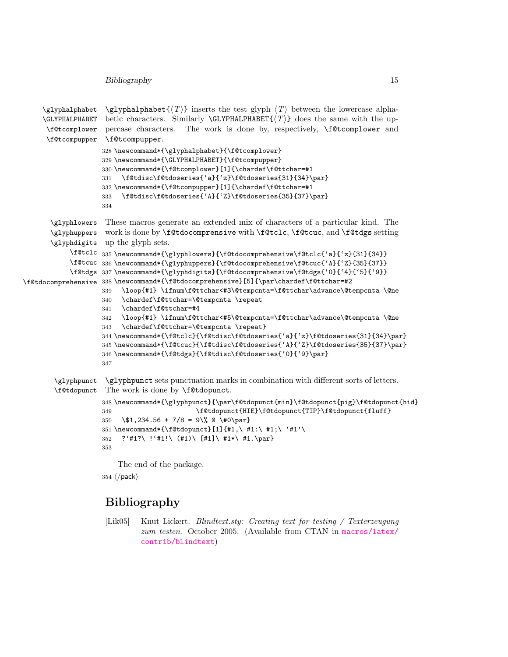Bibliography 15

```
\glyphalphabet
     \GLYPHALPHABET betic characters. Similarly \GLYPHALPHABET\{\langle T \rangle\} does the same with the up-
      \f@tcomplower
percase characters. The work is done by, respectively, \f@tcomplower and
      \f@tcompupper
\f@tcompupper.
                     \glyphalphabet{\langle T \rangle} inserts the test glyph \langle T \rangle between the lowercase alpha-
                    328 \newcommand*{\glyphalphabet}{\f@tcomplower}
                    329 \newcommand*{\GLYPHALPHABET}{\f@tcompupper}
                    330 \newcommand*{\f@tcomplower}[1]{\chardef\f@ttchar=#1
                    331 \f@tdisc\f@tdoseries{'a}{'z}\f@tdoseries{31}{34}\par}
                    332 \newcommand*{\f@tcompupper}[1]{\chardef\f@ttchar=#1
                    333 \f@tdisc\f@tdoseries{'A}{'Z}\f@tdoseries{35}{37}\par}
                    334
       \glyphlowers
These macros generate an extended mix of characters of a particular kind. The
       \glyphuppers
work is done by \f@tdocomprensive with \f@tclc, \f@tcuc, and \f@tdgs setting
       \glyphdigits
up the glyph sets.
            \f@tclc
335 \newcommand*{\glyphlowers}{\f@tdocomprehensive\f@tclc{'a}{'z}{31}{34}}
            \f@tcuc
336 \newcommand*{\glyphuppers}{\f@tdocomprehensive\f@tcuc{'A}{'Z}{35}{37}}
            \f@tdgs
337 \newcommand*{\glyphdigits}{\f@tdocomprehensive\f@tdgs{'0}{'4}{'5}{'9}}
\f@tdocomprehensive
338 \newcommand*{\f@tdocomprehensive}[5]{\par\chardef\f@ttchar=#2
                    339 \loop{#1} \ifnum\f@ttchar<#3\@tempcnta=\f@ttchar\advance\@tempcnta \@ne
                    340 \chardef\f@ttchar=\@tempcnta \repeat
                    341 \chardef\f@ttchar=#4
                    342 \loop{#1} \ifnum\f@ttchar<#5\@tempcnta=\f@ttchar\advance\@tempcnta \@ne
                    343 \chardef\f@ttchar=\@tempcnta \repeat}
                    344 \newcommand*{\f@tclc}{\f@tdisc\f@tdoseries{'a}{'z}\f@tdoseries{31}{34}\par}
                    345 \newcommand*{\f@tcuc}{\f@tdisc\f@tdoseries{'A}{'Z}\f@tdoseries{35}{37}\par}
                    346 \newcommand*{\f@tdgs}{\f@tdisc\f@tdoseries{'0}{'9}\par}
                    347
        \glyphpunct
\glyphpunct sets punctuation marks in combination with different sorts of letters.
        \f@tdopunct
The work is done by \f@tdopunct.
                    348 \newcommand*{\glyphpunct}{\par\f@tdopunct{min}\f@tdopunct{pig}\f@tdopunct{hid}
                    349 \f@tdopunct{HIE}\f@tdopunct{TIP}\f@tdopunct{fluff}
                    350 \$1,234.56 + 7/8 = 9\% @ \#0\par}
                    351 \newcommand*{\f@tdopunct}[1]{#1,\ #1:\ #1;\ '#1'\
                    352 ?'#1?\ !'#1!\ (#1)\ [#1]\ #1*\ #1.\par}
                    353
                        The end of the package.
                    354 \langle /pack \rangle
```
## <span id="page-14-0"></span>Bibliography

<span id="page-14-1"></span>[Lik05] Knut Lickert. Blindtext.sty: Creating text for testing / Texterzeugung zum testen. October 2005. (Available from CTAN in [macros/latex/](macros/latex/contrib/blindtext) [contrib/blindtext](macros/latex/contrib/blindtext))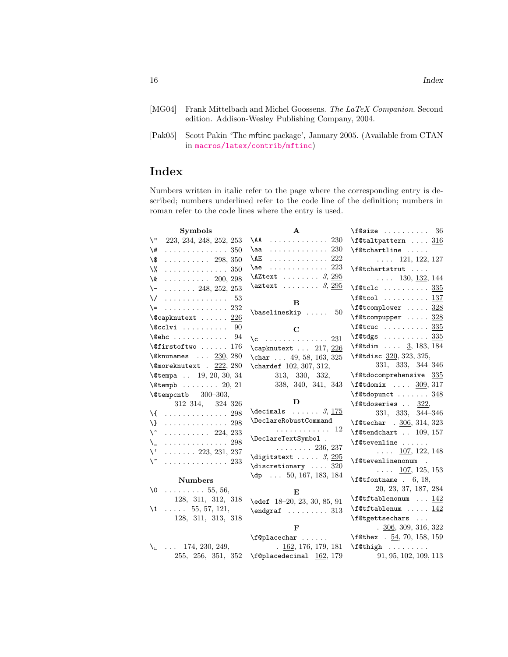- <span id="page-15-0"></span>[MG04] Frank Mittelbach and Michel Goossens. The LaTeX Companion. Second edition. Addison-Wesley Publishing Company, 2004.
- <span id="page-15-1"></span>[Pak05] Scott Pakin 'The mftinc package', January 2005. (Available from CTAN in <macros/latex/contrib/mftinc>)

# Index

Numbers written in italic refer to the page where the corresponding entry is described; numbers underlined refer to the code line of the definition; numbers in roman refer to the code lines where the entry is used.

| <b>Symbols</b>                                 | $\mathbf{A}$                                     | $\texttt{10size}$ 36                                                    |
|------------------------------------------------|--------------------------------------------------|-------------------------------------------------------------------------|
| \ "<br>223, 234, 248, 252, 253                 | $\setminus$ AA<br>. 230                          | $\texttt{[Ctall}$ 316                                                   |
| . 350<br>\#                                    | . 230<br>\aa                                     | \f@tchartline                                                           |
| \\$<br>$\cdots \cdots \cdots 298, 350$         | $\setminus$ AE<br>. 222                          | $\ldots$ 121, 122, <u>127</u>                                           |
| \%<br>. 350                                    | . 223<br>\ae                                     | \f@tchartstrut                                                          |
| \&<br>$\ldots \ldots \ldots 200, 298$          | \AZtext $3, 295$                                 | $\ldots$ 130, <u>132</u> , 144                                          |
| $\setminus$ -  248, 252, 253                   | $\text{aztext} \ldots \ldots 3, \underline{295}$ | $\setminus$ f@tclc <u>335</u>                                           |
| $\vee$<br>. 53                                 | в                                                | $\text{\texttt{[0tcol]}} \dots \dots \dots 137$                         |
| $\leftarrow$ 232                               |                                                  | $\setminus$ f@tcomplower  328                                           |
| $\texttt{\textbackslash}$ Capknutext $226$     | $\{\text{baselineskip}\dots\ 50\}$               | $\setminus$ f@tcompupper  328                                           |
| $\sqrt{cclvi}$ 90                              | С                                                | $\setminus$ f@tcuc 335                                                  |
| $\text{Qehc}$ $94$                             | $\c$ 231                                         | \f@tdgs <u>335</u>                                                      |
| $\text{Qfirstoftwo} \dots 176$                 | \capknutext  217, 226                            | $\text{f@tdim} \dots 3, 183, 184$                                       |
| $\text{Qknunames} \dots \underline{230}, 280$  |                                                  | \f@tdisc 320, 323, 325,                                                 |
| $\text{Comoreknutext}$ . 222, 280              | \chardef 102, 307, 312,                          | 331, 333, 344-346                                                       |
| $\text{Vetempa}$ . 19, 20, 30, 34              | 313, 330, 332,                                   | \f@tdocomprehensive 335                                                 |
| $\text{Ctempb}$ 20, 21                         | 338, 340, 341, 343                               | $\texttt{if@tdomix} \dots 309, 317$                                     |
| $\text{Utempcntb}$ 300-303,                    |                                                  | \f@tdopunct  348                                                        |
|                                                |                                                  |                                                                         |
| $312 - 314$ , $324 - 326$                      | D                                                | \f@tdoseries  322,                                                      |
| \{  298                                        | $\lambda$ decimals  3, 175                       | 331, 333, 344-346                                                       |
| $\setminus$ 298                                | \DeclareRobustCommand                            | $\text{Set}$ . 306, 314, 323                                            |
| \^<br>$\cdots \cdots \cdots 224, 233$          | . 12                                             | $\text{\texttt{U}}$ . 109, 157                                          |
| \_<br>. 298                                    | \DeclareTextSymbol .                             | \f@tevenline                                                            |
| $\setminus$ (<br>$\ldots \ldots 223, 231, 237$ | $\ldots \ldots 236, 237$                         | $\ldots$ 107, 122, 148                                                  |
| $\mathcal{L}$<br>. 233                         | \digitstext $3, 295$                             | \f@tevenlinenonum<br>$\overline{a}$                                     |
|                                                | $\text{discretionary} \dots 320$                 | $\ldots$ 107, 125, 153                                                  |
| <b>Numbers</b>                                 | $\{dp \dots 50, 167, 183, 184$                   | $\setminus$ f@tfontname . 6, 18,                                        |
| $\sqrt{0}$ 55, 56,                             |                                                  | 20, 23, 37, 187, 284                                                    |
| 128, 311, 312, 318                             | Е                                                | $\texttt{\texttt{U}}$ $142$                                             |
| $\{1 \dots 55, 57, 121, \ldots \}$             | $\text{led } 18-20, 23, 30, 85, 91$              | $\texttt{f@tftablenum} \dots 142$                                       |
| 128, 311, 313, 318                             | $\end{array}$ 313                                | \f@tgettsechars                                                         |
|                                                | F                                                | $\frac{306}{309}$ , 309, 316, 322                                       |
|                                                | $\left\{ \text{f@placechar } \ldots \right\}$    | \f@thex . 54, 70, 158, 159                                              |
| $\lambda_{\square}$ 174, 230, 249,             | $\frac{162}{162}$ , 176, 179, 181                | $\left\{\text{Cthigh}\right.\dots\dots\right.$<br>91, 95, 102, 109, 113 |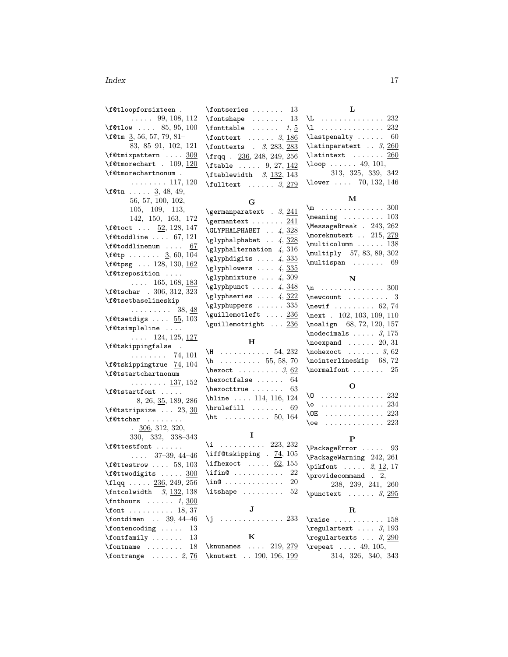#### Index 17

| \f@tloopforsixteen.                         | $\verb \fontseries   \dots   13 $                       | L                                             |
|---------------------------------------------|---------------------------------------------------------|-----------------------------------------------|
| $\ldots$ 99, 108, 112                       | $\cdot$ 13                                              | $\L$ 232                                      |
| $\texttt{if@tlow} \dots 85, 95, 100$        | $\forall$ fonttable  1, 5                               | $\setminus$ 1 232                             |
| \f@tm $\frac{3}{56}$ , 57, 79, 81-          | $\text{Ionttext} \quad \ldots \quad 3, \underline{186}$ | $\lambda$ astpenalty  60                      |
| 83, 85-91, 102, 121                         | $\text{fonttexts}$ . 3, 283, 283                        | $\lambda$ latinparatext 3, 260                |
| \f@tmixpattern  309                         | \frqq. 236, 248, 249, 256                               | $\lambda$ latintext  260                      |
| $\setminus$ f@tmorechart . 109, 120         | $\theta$ 9, 27, 142                                     | $\lambda$ loop  49, 101,                      |
| \f@tmorechartnonum.                         | $\theta$ 3, 132, 143                                    | 313, 325, 339, 342                            |
| $\ldots \ldots 117, \underline{120}$        | $\text{fulltext} \dots \dots \, 3, \, \frac{279}{279}$  | \lower  70, 132, 146                          |
| \f@tn $\frac{3}{5}$ , 48, 49,               |                                                         |                                               |
| 56, 57, 100, 102,                           | G                                                       | М                                             |
| 105, 109, 113,                              | $\qquad$ $\qquad$ . 3, 241                              | $\mho$ 300                                    |
| 142, 150, 163, 172                          | $\qquad$                                                | $\n\text{meaning} \ldots \ldots \ldots 103$   |
| \f@toct $\frac{52}{128}$ , 128, 147         | $\Upsilon$ . 4, 328                                     | \MessageBreak . 243, 262                      |
| $\setminus$ f@toddline  67, 121             | \glyphalphabet $\ldots$ 4, 328                          | \moreknutext . 215, 279                       |
| $\setminus$ f@toddlinenum $67$              | $\qquad$ yphalternation 4, 316                          | $\multicolumn \ldots 138$                     |
| \f@tp $3, 60, 104$                          | $\qquad$                                                | \multiply 57, 83, 89, 302                     |
| \f@tpsg  128, 130, <u>162</u>               | $\qquad$                                                | $\text{multispan} \ldots 69$                  |
| \f@treposition                              | $\qquad$                                                |                                               |
| $\ldots$ 165, 168, 183                      | $\gtrsim 1$ yphpunct  4, 348                            | N                                             |
| \f@tschar . 306, 312, 323                   | $\qquad$ \glyphseries  4, 322                           | $n \ldots \ldots \ldots \ldots 300$           |
| \f@tsetbaselineskip                         |                                                         | $\neq 3$                                      |
| $\ldots \ldots \ldots$ 38, $\underline{48}$ | $\qquad$                                                | \newif $\ldots \ldots \ldots \quad 62, 74$    |
| \f@tsetdigs $\ldots$ 55, 103                | \guillemotleft  236                                     | \next . 102, 103, 109, 110                    |
| \f@tsimpleline                              | \guillemotright  236                                    | \noalign 68, 72, 120, 157                     |
| $\ldots$ 124, 125, <u>127</u>               | $H_{\rm}$                                               | $\setminus$ nodecimals  3, 175                |
| \f@tskippingfalse .                         | $H$ 54, 232                                             | $\n\neq 20, 31$                               |
|                                             |                                                         | $\emptyset$ xooks 3, 62                       |
| $\ldots \ldots \frac{74}{101}$              |                                                         |                                               |
| \f@tskippingtrue 74, 104                    | $h \ldots \ldots \ldots 55, 58, 70$                     | \nointerlineskip 68,72                        |
| \f@tstartchartnonum                         | $\text{next} \ldots \ldots \quad 3,62$                  | \normalfont $25$                              |
| $\ldots \ldots \frac{137}{132}$             | $\hbox{\tt\&vortfalse}$<br>64                           |                                               |
| \f@tstartfont                               | $\hbox{\tt hexocttrue} \ldots$<br>63                    | O                                             |
| 8, 26, 35, 189, 286                         | \hline  114, 116, 124                                   | $\sqrt{0}$ 232                                |
| \f@tstripsize $\ldots$ 23, 30               | $\hbox{\tt hruleftill} \ldots$<br>69                    | $\sqrt{8}$ 234                                |
| \f@ttchar                                   | \ht $\ldots \ldots \ldots 50, 164$                      | $\sqrt{OE}$ 223                               |
| $\frac{306}{320}$ , 312, 320,               |                                                         | $\sqrt{10e}$ 223                              |
| 330, 332, 338-343                           | 1                                                       | $\mathbf{P}$                                  |
| \f@ttestfont                                | $\{i$ 223, 232                                          |                                               |
| $\ldots$ 37-39, 44-46                       | \iff@tskipping . $74, 105$                              | $\text{PackageError} \dots 93$                |
| \f@ttestrow $58, 103$                       | \ifhexoct $62, 155$                                     | \PackageWarning 242, 261                      |
| \f@ttwodigits $\underline{300}$             | $\infty$<br>22                                          | $\phi$ ikfont $2, 12, 17$                     |
| \flqq <u>236</u> , 249, 256                 | \in@<br>20                                              | $\preccurlyeq$ . 2,                           |
| $\mathcal{S}, \mathbf{132}, \mathbf{138}$   | $\iota$ : $\iota$<br>52                                 | 238, 239, 241, 260                            |
| $\verb \fnthours $ 1, $\underline{300}$     |                                                         | $\text{punctext } \ldots 3, 295$              |
| $\forall$ font  18, 37                      | J                                                       | $\mathbf R$                                   |
| $\forall$ fontdimen  39, 44-46              | \j  233                                                 | $\texttt{raise}$ $158$                        |
| $\forall$ fontencoding $\ldots$ .<br>13     |                                                         | $\text{regulartext} \dots 3, \frac{193}{193}$ |
| $\forall$ fontfamily $\ldots \ldots$<br>13  | K                                                       | $\texttt{`regulartexts  3, 290}$              |
| $\sim$<br>$\verb \fontname $<br>18          | $\kappa$ 219, 279                                       | $\text{repeat} \dots 49, 105,$                |
| $\forall$ fontrange  2, 76                  | \knutext  190, 196, 199                                 | 314, 326, 340, 343                            |